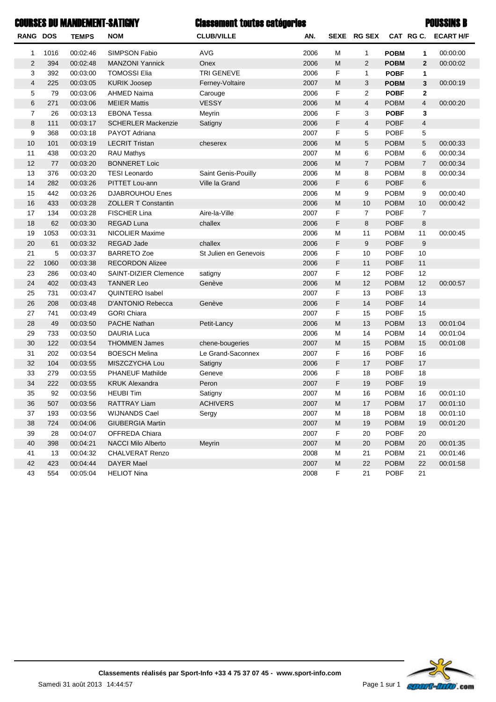|                 |      | <b>COURSES DU MANDEMENT-SATIGNY</b> |                            | <b>Classement toutes catégories</b> |      |           |                |             |                | <b>POUSSINS B</b>   |
|-----------------|------|-------------------------------------|----------------------------|-------------------------------------|------|-----------|----------------|-------------|----------------|---------------------|
| <b>RANG DOS</b> |      | <b>TEMPS</b>                        | <b>NOM</b>                 | <b>CLUB/VILLE</b>                   | AN.  |           | SEXE RG SEX    |             |                | CAT RG C. ECART H/F |
| 1               | 1016 | 00:02:46                            | SIMPSON Fabio              | AVG                                 | 2006 | M         | 1              | <b>POBM</b> | 1              | 00:00:00            |
| $\overline{2}$  | 394  | 00:02:48                            | <b>MANZONI Yannick</b>     | Onex                                | 2006 | M         | $\overline{2}$ | <b>POBM</b> | $\overline{2}$ | 00:00:02            |
| 3               | 392  | 00:03:00                            | <b>TOMOSSI Elia</b>        | <b>TRI GENEVE</b>                   | 2006 | F         | $\mathbf{1}$   | <b>POBF</b> | 1              |                     |
| 4               | 225  | 00:03:05                            | <b>KURIK Joosep</b>        | Ferney-Voltaire                     | 2007 | M         | 3              | <b>POBM</b> | 3              | 00:00:19            |
| 5               | 79   | 00:03:06                            | AHMED Naima                | Carouge                             | 2006 | F         | 2              | <b>POBF</b> | $\mathbf{2}$   |                     |
| 6               | 271  | 00:03:06                            | <b>MEIER Mattis</b>        | <b>VESSY</b>                        | 2006 | M         | 4              | <b>POBM</b> | $\overline{4}$ | 00:00:20            |
| 7               | 26   | 00:03:13                            | <b>EBONA Tessa</b>         | Meyrin                              | 2006 | F         | 3              | <b>POBF</b> | 3              |                     |
| 8               | 111  | 00:03:17                            | <b>SCHERLER Mackenzie</b>  | Satigny                             | 2006 | F         | 4              | <b>POBF</b> | $\overline{4}$ |                     |
| 9               | 368  | 00:03:18                            | PAYOT Adriana              |                                     | 2007 | F         | 5              | <b>POBF</b> | 5              |                     |
| 10              | 101  | 00:03:19                            | <b>LECRIT Tristan</b>      | cheserex                            | 2006 | M         | 5              | <b>POBM</b> | 5              | 00:00:33            |
| 11              | 438  | 00:03:20                            | <b>RAU Mathys</b>          |                                     | 2007 | M         | 6              | <b>POBM</b> | 6              | 00:00:34            |
| 12              | 77   | 00:03:20                            | <b>BONNERET Loic</b>       |                                     | 2006 | M         | $\overline{7}$ | <b>POBM</b> | $\overline{7}$ | 00:00:34            |
| 13              | 376  | 00:03:20                            | <b>TESI Leonardo</b>       | Saint Genis-Pouilly                 | 2006 | M         | 8              | <b>POBM</b> | 8              | 00:00:34            |
| 14              | 282  | 00:03:26                            | PITTET Lou-ann             | Ville la Grand                      | 2006 | F         | 6              | <b>POBF</b> | 6              |                     |
| 15              | 442  | 00:03:26                            | <b>DJABROUHOU Enes</b>     |                                     | 2006 | M         | 9              | <b>POBM</b> | 9              | 00:00:40            |
| 16              | 433  | 00:03:28                            | <b>ZOLLER T Constantin</b> |                                     | 2006 | M         | 10             | <b>POBM</b> | 10             | 00:00:42            |
| 17              | 134  | 00:03:28                            | <b>FISCHER Lina</b>        | Aire-la-Ville                       | 2007 | F         | $\overline{7}$ | <b>POBF</b> | $\overline{7}$ |                     |
| 18              | 62   | 00:03:30                            | <b>REGAD Luna</b>          | challex                             | 2006 | F         | 8              | <b>POBF</b> | 8              |                     |
| 19              | 1053 | 00:03:31                            | <b>NICOLIER Maxime</b>     |                                     | 2006 | М         | 11             | <b>POBM</b> | 11             | 00:00:45            |
| 20              | 61   | 00:03:32                            | <b>REGAD Jade</b>          | challex                             | 2006 | F         | 9              | <b>POBF</b> | 9              |                     |
| 21              | 5    | 00:03:37                            | <b>BARRETO Zoe</b>         | St Julien en Genevois               | 2006 | F         | 10             | <b>POBF</b> | 10             |                     |
| 22              | 1060 | 00:03:38                            | <b>RECORDON Alizee</b>     |                                     | 2006 | F         | 11             | <b>POBF</b> | 11             |                     |
| 23              | 286  | 00:03:40                            | SAINT-DIZIER Clemence      | satigny                             | 2007 | F         | 12             | <b>POBF</b> | 12             |                     |
| 24              | 402  | 00:03:43                            | <b>TANNER Leo</b>          | Genève                              | 2006 | M         | 12             | <b>POBM</b> | 12             | 00:00:57            |
| 25              | 731  | 00:03:47                            | <b>QUINTERO Isabel</b>     |                                     | 2007 | F         | 13             | <b>POBF</b> | 13             |                     |
| 26              | 208  | 00:03:48                            | D'ANTONIO Rebecca          | Genève                              | 2006 | F         | 14             | <b>POBF</b> | 14             |                     |
| 27              | 741  | 00:03:49                            | <b>GORI Chiara</b>         |                                     | 2007 | F         | 15             | <b>POBF</b> | 15             |                     |
| 28              | 49   | 00:03:50                            | <b>PACHE Nathan</b>        | Petit-Lancy                         | 2006 | M         | 13             | <b>POBM</b> | 13             | 00:01:04            |
| 29              | 733  | 00:03:50                            | <b>DAURIA Luca</b>         |                                     | 2006 | М         | 14             | <b>POBM</b> | 14             | 00:01:04            |
| 30              | 122  | 00:03:54                            | <b>THOMMEN James</b>       | chene-bougeries                     | 2007 | M         | 15             | <b>POBM</b> | 15             | 00:01:08            |
| 31              | 202  | 00:03:54                            | <b>BOESCH Melina</b>       | Le Grand-Saconnex                   | 2007 | F         | 16             | <b>POBF</b> | 16             |                     |
| 32              | 104  | 00:03:55                            | MISZCZYCHA Lou             | Satigny                             | 2006 | F         | 17             | <b>POBF</b> | 17             |                     |
| 33              | 279  | 00:03:55                            | <b>PHANEUF Mathilde</b>    | Geneve                              | 2006 | F         | 18             | <b>POBF</b> | 18             |                     |
| 34              | 222  | 00:03:55                            | <b>KRUK Alexandra</b>      | Peron                               | 2007 | F         | 19             | <b>POBF</b> | 19             |                     |
| 35              | 92   | 00:03:56                            | <b>HEUBI Tim</b>           | Satigny                             | 2007 | M         | 16             | <b>POBM</b> | 16             | 00:01:10            |
| 36              | 507  | 00:03:56                            | RATTRAY Liam               | <b>ACHIVERS</b>                     | 2007 | M         | 17             | <b>POBM</b> | 17             | 00:01:10            |
| 37              | 193  | 00:03:56                            | <b>WIJNANDS Cael</b>       | Sergy                               | 2007 | M         | 18             | <b>POBM</b> | 18             | 00:01:10            |
| 38              | 724  | 00:04:06                            | <b>GIUBERGIA Martin</b>    |                                     | 2007 | ${\sf M}$ | 19             | <b>POBM</b> | 19             | 00:01:20            |
| 39              | 28   | 00:04:07                            | OFFREDA Chiara             |                                     | 2007 | F         | 20             | <b>POBF</b> | 20             |                     |
| 40              | 398  | 00:04:21                            | <b>NACCI Milo Alberto</b>  | Meyrin                              | 2007 | M         | 20             | <b>POBM</b> | 20             | 00:01:35            |
| 41              | 13   | 00:04:32                            | <b>CHALVERAT Renzo</b>     |                                     | 2008 | M         | 21             | <b>POBM</b> | 21             | 00:01:46            |
| 42              | 423  | 00:04:44                            | DAYER Mael                 |                                     | 2007 | ${\sf M}$ | 22             | <b>POBM</b> | 22             | 00:01:58            |
| 43              | 554  | 00:05:04                            | <b>HELIOT Nina</b>         |                                     | 2008 | F         | 21             | POBF        | 21             |                     |

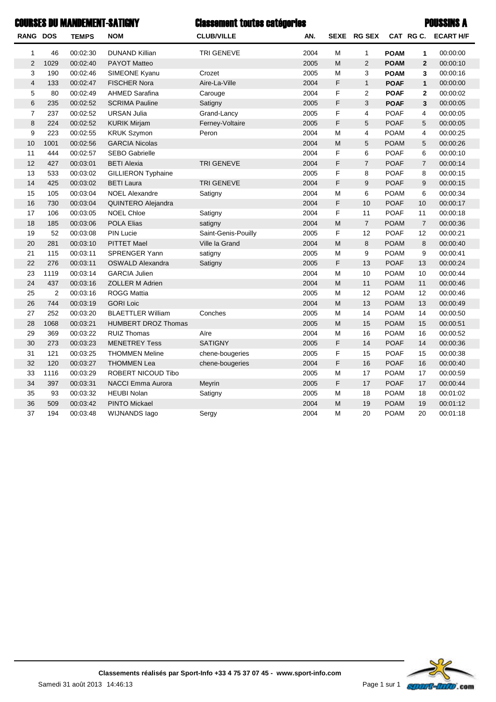|                 |                | <b>COURSES DU MANDEMENT-SATIGNY</b> |                            | <b>Classement toutes catégories</b> |      |             |                |             |                         | <b>POUSSINS A</b>   |
|-----------------|----------------|-------------------------------------|----------------------------|-------------------------------------|------|-------------|----------------|-------------|-------------------------|---------------------|
| <b>RANG DOS</b> |                | <b>TEMPS</b>                        | <b>NOM</b>                 | <b>CLUB/VILLE</b>                   | AN.  |             | SEXE RG SEX    |             |                         | CAT RG C. ECART H/F |
| 1               | 46             | 00:02:30                            | <b>DUNAND Killian</b>      | TRI GENEVE                          | 2004 | M           | $\mathbf{1}$   | <b>POAM</b> | 1                       | 00:00:00            |
| $\overline{2}$  | 1029           | 00:02:40                            | <b>PAYOT Matteo</b>        |                                     | 2005 | M           | 2              | <b>POAM</b> | $\overline{2}$          | 00:00:10            |
| 3               | 190            | 00:02:46                            | SIMEONE Kyanu              | Crozet                              | 2005 | M           | 3              | <b>POAM</b> | 3                       | 00:00:16            |
| $\overline{4}$  | 133            | 00:02:47                            | <b>FISCHER Nora</b>        | Aire-La-Ville                       | 2004 | F           | $\mathbf{1}$   | <b>POAF</b> | 1                       | 00:00:00            |
| 5               | 80             | 00:02:49                            | <b>AHMED Sarafina</b>      | Carouge                             | 2004 | F           | 2              | <b>POAF</b> | $\mathbf{2}$            | 00:00:02            |
| $\,6$           | 235            | 00:02:52                            | <b>SCRIMA Pauline</b>      | Satigny                             | 2005 | F           | $\sqrt{3}$     | <b>POAF</b> | 3                       | 00:00:05            |
| $\overline{7}$  | 237            | 00:02:52                            | <b>URSAN Julia</b>         | Grand-Lancy                         | 2005 | F           | 4              | <b>POAF</b> | 4                       | 00:00:05            |
| 8               | 224            | 00:02:52                            | <b>KURIK Mirjam</b>        | Ferney-Voltaire                     | 2005 | F           | 5              | <b>POAF</b> | 5                       | 00:00:05            |
| 9               | 223            | 00:02:55                            | <b>KRUK Szymon</b>         | Peron                               | 2004 | М           | 4              | <b>POAM</b> | $\overline{\mathbf{4}}$ | 00:00:25            |
| 10              | 1001           | 00:02:56                            | <b>GARCIA Nicolas</b>      |                                     | 2004 | M           | 5              | <b>POAM</b> | 5                       | 00:00:26            |
| 11              | 444            | 00:02:57                            | <b>SEBO Gabrielle</b>      |                                     | 2004 | F           | 6              | <b>POAF</b> | 6                       | 00:00:10            |
| 12              | 427            | 00:03:01                            | <b>BETI Alexia</b>         | <b>TRI GENEVE</b>                   | 2004 | F           | $\overline{7}$ | <b>POAF</b> | $\overline{7}$          | 00:00:14            |
| 13              | 533            | 00:03:02                            | <b>GILLIERON Typhaine</b>  |                                     | 2005 | F           | 8              | <b>POAF</b> | 8                       | 00:00:15            |
| 14              | 425            | 00:03:02                            | <b>BETI Laura</b>          | <b>TRI GENEVE</b>                   | 2004 | F           | $9\,$          | <b>POAF</b> | 9                       | 00:00:15            |
| 15              | 105            | 00:03:04                            | <b>NOEL Alexandre</b>      | Satigny                             | 2004 | M           | 6              | <b>POAM</b> | 6                       | 00:00:34            |
| 16              | 730            | 00:03:04                            | QUINTERO Alejandra         |                                     | 2004 | F           | 10             | <b>POAF</b> | 10                      | 00:00:17            |
| 17              | 106            | 00:03:05                            | <b>NOEL Chloe</b>          | Satigny                             | 2004 | F           | 11             | <b>POAF</b> | 11                      | 00:00:18            |
| 18              | 185            | 00:03:06                            | <b>POLA Elias</b>          | satigny                             | 2004 | M           | $\overline{7}$ | <b>POAM</b> | $\overline{7}$          | 00:00:36            |
| 19              | 52             | 00:03:08                            | <b>PIN Lucie</b>           | Saint-Genis-Pouilly                 | 2005 | F           | 12             | <b>POAF</b> | 12                      | 00:00:21            |
| 20              | 281            | 00:03:10                            | <b>PITTET Mael</b>         | Ville la Grand                      | 2004 | M           | 8              | <b>POAM</b> | 8                       | 00:00:40            |
| 21              | 115            | 00:03:11                            | <b>SPRENGER Yann</b>       | satigny                             | 2005 | M           | 9              | <b>POAM</b> | 9                       | 00:00:41            |
| 22              | 276            | 00:03:11                            | <b>OSWALD Alexandra</b>    | Satigny                             | 2005 | F           | 13             | <b>POAF</b> | 13                      | 00:00:24            |
| 23              | 1119           | 00:03:14                            | <b>GARCIA Julien</b>       |                                     | 2004 | М           | 10             | <b>POAM</b> | 10                      | 00:00:44            |
| 24              | 437            | 00:03:16                            | <b>ZOLLER M Adrien</b>     |                                     | 2004 | M           | 11             | <b>POAM</b> | 11                      | 00:00:46            |
| 25              | $\overline{2}$ | 00:03:16                            | <b>ROGG Mattia</b>         |                                     | 2005 | M           | 12             | <b>POAM</b> | 12                      | 00:00:46            |
| 26              | 744            | 00:03:19                            | <b>GORI Loic</b>           |                                     | 2004 | M           | 13             | <b>POAM</b> | 13                      | 00:00:49            |
| 27              | 252            | 00:03:20                            | <b>BLAETTLER William</b>   | Conches                             | 2005 | M           | 14             | <b>POAM</b> | 14                      | 00:00:50            |
| 28              | 1068           | 00:03:21                            | <b>HUMBERT DROZ Thomas</b> |                                     | 2005 | M           | 15             | <b>POAM</b> | 15                      | 00:00:51            |
| 29              | 369            | 00:03:22                            | <b>RUIZ Thomas</b>         | Aïre                                | 2004 | M           | 16             | <b>POAM</b> | 16                      | 00:00:52            |
| 30              | 273            | 00:03:23                            | <b>MENETREY Tess</b>       | <b>SATIGNY</b>                      | 2005 | $\mathsf F$ | 14             | <b>POAF</b> | 14                      | 00:00:36            |
| 31              | 121            | 00:03:25                            | <b>THOMMEN Meline</b>      | chene-bougeries                     | 2005 | F           | 15             | <b>POAF</b> | 15                      | 00:00:38            |
| 32              | 120            | 00:03:27                            | <b>THOMMEN Lea</b>         | chene-bougeries                     | 2004 | F           | 16             | <b>POAF</b> | 16                      | 00:00:40            |
| 33              | 1116           | 00:03:29                            | ROBERT NICOUD Tibo         |                                     | 2005 | M           | 17             | <b>POAM</b> | 17                      | 00:00:59            |
| 34              | 397            | 00:03:31                            | NACCI Emma Aurora          | Meyrin                              | 2005 | F           | 17             | <b>POAF</b> | 17                      | 00:00:44            |
| 35              | 93             | 00:03:32                            | <b>HEUBI Nolan</b>         | Satigny                             | 2005 | M           | 18             | <b>POAM</b> | 18                      | 00:01:02            |
| 36              | 509            | 00:03:42                            | <b>PINTO Mickael</b>       |                                     | 2004 | M           | 19             | <b>POAM</b> | 19                      | 00:01:12            |
| 37              | 194            | 00:03:48                            | WIJNANDS lago              | Sergy                               | 2004 | M           | 20             | <b>POAM</b> | 20                      | 00:01:18            |

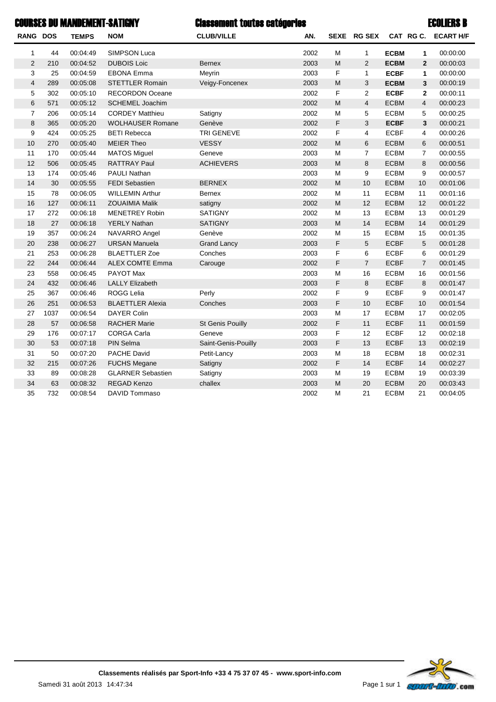### Classement toutes catégories ECOLIERS BCOURSES DU MANDEMENT-SATIGNY

| RANG DOS       |      | <b>TEMPS</b> | <b>NOM</b>               | <b>CLUB/VILLE</b>   | AN.  |           | SEXE RG SEX    |             | CAT RG C.      | <b>ECART H/F</b> |
|----------------|------|--------------|--------------------------|---------------------|------|-----------|----------------|-------------|----------------|------------------|
| 1              | 44   | 00:04:49     | SIMPSON Luca             |                     | 2002 | M         | 1              | <b>ECBM</b> | 1              | 00:00:00         |
| $\overline{2}$ | 210  | 00:04:52     | <b>DUBOIS Loic</b>       | <b>Bernex</b>       | 2003 | ${\sf M}$ | $\overline{2}$ | <b>ECBM</b> | $\overline{2}$ | 00:00:03         |
| 3              | 25   | 00:04:59     | <b>EBONA Emma</b>        | Meyrin              | 2003 | F         | $\mathbf{1}$   | <b>ECBF</b> | 1              | 00:00:00         |
| $\overline{4}$ | 289  | 00:05:08     | <b>STETTLER Romain</b>   | Veigy-Foncenex      | 2003 | ${\sf M}$ | 3              | <b>ECBM</b> | 3              | 00:00:19         |
| 5              | 302  | 00:05:10     | <b>RECORDON Oceane</b>   |                     | 2002 | F         | 2              | <b>ECBF</b> | $\mathbf{2}$   | 00:00:11         |
| 6              | 571  | 00:05:12     | SCHEMEL Joachim          |                     | 2002 | ${\sf M}$ | $\overline{4}$ | <b>ECBM</b> | 4              | 00:00:23         |
| $\overline{7}$ | 206  | 00:05:14     | <b>CORDEY Matthieu</b>   | Satigny             | 2002 | M         | 5              | <b>ECBM</b> | 5              | 00:00:25         |
| 8              | 365  | 00:05:20     | <b>WOLHAUSER Romane</b>  | Genève              | 2002 | F         | 3              | <b>ECBF</b> | 3              | 00:00:21         |
| 9              | 424  | 00:05:25     | <b>BETI Rebecca</b>      | <b>TRI GENEVE</b>   | 2002 | F         | 4              | <b>ECBF</b> | 4              | 00:00:26         |
| 10             | 270  | 00:05:40     | <b>MEIER Theo</b>        | <b>VESSY</b>        | 2002 | M         | 6              | <b>ECBM</b> | 6              | 00:00:51         |
| 11             | 170  | 00:05:44     | <b>MATOS Miguel</b>      | Geneve              | 2003 | M         | $\overline{7}$ | <b>ECBM</b> | $\overline{7}$ | 00:00:55         |
| 12             | 506  | 00:05:45     | <b>RATTRAY Paul</b>      | <b>ACHIEVERS</b>    | 2003 | M         | 8              | <b>ECBM</b> | 8              | 00:00:56         |
| 13             | 174  | 00:05:46     | <b>PAULI Nathan</b>      |                     | 2003 | M         | 9              | <b>ECBM</b> | 9              | 00:00:57         |
| 14             | 30   | 00:05:55     | <b>FEDI Sebastien</b>    | <b>BERNEX</b>       | 2002 | ${\sf M}$ | 10             | <b>ECBM</b> | 10             | 00:01:06         |
| 15             | 78   | 00:06:05     | <b>WILLEMIN Arthur</b>   | <b>Bernex</b>       | 2002 | M         | 11             | <b>ECBM</b> | 11             | 00:01:16         |
| 16             | 127  | 00:06:11     | <b>ZOUAIMIA Malik</b>    | satigny             | 2002 | M         | 12             | <b>ECBM</b> | 12             | 00:01:22         |
| 17             | 272  | 00:06:18     | <b>MENETREY Robin</b>    | <b>SATIGNY</b>      | 2002 | M         | 13             | <b>ECBM</b> | 13             | 00:01:29         |
| 18             | 27   | 00:06:18     | <b>YERLY Nathan</b>      | <b>SATIGNY</b>      | 2003 | M         | 14             | <b>ECBM</b> | 14             | 00:01:29         |
| 19             | 357  | 00:06:24     | NAVARRO Angel            | Genève              | 2002 | M         | 15             | <b>ECBM</b> | 15             | 00:01:35         |
| 20             | 238  | 00:06:27     | <b>URSAN Manuela</b>     | <b>Grand Lancy</b>  | 2003 | F         | 5              | <b>ECBF</b> | 5              | 00:01:28         |
| 21             | 253  | 00:06:28     | <b>BLAETTLER Zoe</b>     | Conches             | 2003 | F         | 6              | <b>ECBF</b> | 6              | 00:01:29         |
| 22             | 244  | 00:06:44     | <b>ALEX COMTE Emma</b>   | Carouge             | 2002 | F         | $\overline{7}$ | <b>ECBF</b> | $\overline{7}$ | 00:01:45         |
| 23             | 558  | 00:06:45     | PAYOT Max                |                     | 2003 | M         | 16             | <b>ECBM</b> | 16             | 00:01:56         |
| 24             | 432  | 00:06:46     | <b>LALLY Elizabeth</b>   |                     | 2003 | F         | 8              | <b>ECBF</b> | 8              | 00:01:47         |
| 25             | 367  | 00:06:46     | <b>ROGG Lelia</b>        | Perly               | 2002 | F         | 9              | <b>ECBF</b> | 9              | 00:01:47         |
| 26             | 251  | 00:06:53     | <b>BLAETTLER Alexia</b>  | Conches             | 2003 | F         | 10             | <b>ECBF</b> | 10             | 00:01:54         |
| 27             | 1037 | 00:06:54     | <b>DAYER Colin</b>       |                     | 2003 | M         | 17             | <b>ECBM</b> | 17             | 00:02:05         |
| 28             | 57   | 00:06:58     | <b>RACHER Marie</b>      | St Genis Pouilly    | 2002 | F         | 11             | <b>ECBF</b> | 11             | 00:01:59         |
| 29             | 176  | 00:07:17     | <b>CORGA Carla</b>       | Geneve              | 2003 | F         | 12             | <b>ECBF</b> | 12             | 00:02:18         |
| 30             | 53   | 00:07:18     | PIN Selma                | Saint-Genis-Pouilly | 2003 | F         | 13             | <b>ECBF</b> | 13             | 00:02:19         |
| 31             | 50   | 00:07:20     | PACHE David              | Petit-Lancy         | 2003 | M         | 18             | <b>ECBM</b> | 18             | 00:02:31         |
| 32             | 215  | 00:07:26     | <b>FUCHS Megane</b>      | Satigny             | 2002 | F         | 14             | <b>ECBF</b> | 14             | 00:02:27         |
| 33             | 89   | 00:08:28     | <b>GLARNER Sebastien</b> | Satigny             | 2003 | M         | 19             | <b>ECBM</b> | 19             | 00:03:39         |
| 34             | 63   | 00:08:32     | <b>REGAD Kenzo</b>       | challex             | 2003 | M         | 20             | <b>ECBM</b> | 20             | 00:03:43         |
| 35             | 732  | 00:08:54     | DAVID Tommaso            |                     | 2002 | M         | 21             | <b>ECBM</b> | 21             | 00:04:05         |

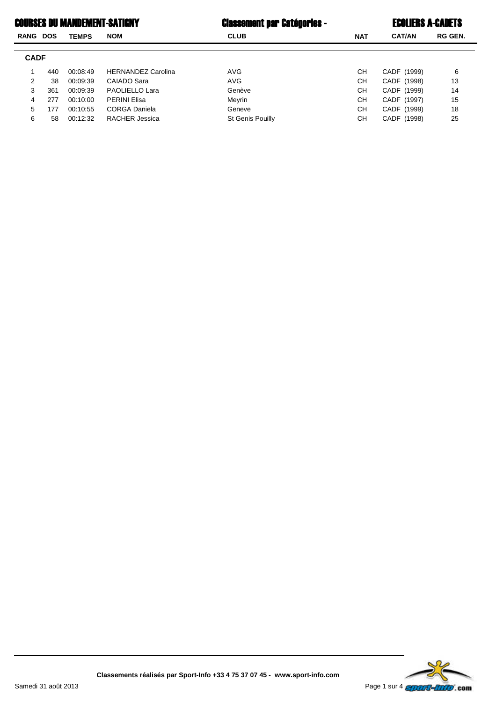### Classement par Catégories - ECOLIERS A-CADETSCOURSES DU MANDEMENT-SATIGNY

| Classement par Catégories - |  |
|-----------------------------|--|
|-----------------------------|--|

| E <b>coliers A-Cadets</b> |
|---------------------------|
|---------------------------|

| RANG        | DOS | <b>TEMPS</b> | <b>NOM</b>                | <b>CLUB</b>             | <b>NAT</b> | <b>CAT/AN</b> | <b>RG GEN.</b> |
|-------------|-----|--------------|---------------------------|-------------------------|------------|---------------|----------------|
|             |     |              |                           |                         |            |               |                |
| <b>CADF</b> |     |              |                           |                         |            |               |                |
|             | 440 | 00:08:49     | <b>HERNANDEZ Carolina</b> | AVG                     | <b>CH</b>  | CADF (1999)   | 6              |
| 2           | 38  | 00:09:39     | CAIADO Sara               | AVG                     | СH         | CADF (1998)   | 13             |
| 3           | 361 | 00:09:39     | PAOLIELLO Lara            | Genève                  | CН         | CADF (1999)   | 14             |
| 4           | 277 | 00:10:00     | <b>PERINI Elisa</b>       | Meyrin                  | <b>CH</b>  | CADF (1997)   | 15             |
| 5           | 177 | 00:10:55     | <b>CORGA Daniela</b>      | Geneve                  | <b>CH</b>  | CADF (1999)   | 18             |
| 6           | 58  | 00:12:32     | <b>RACHER Jessica</b>     | <b>St Genis Pouilly</b> | <b>CH</b>  | CADF (1998)   | 25             |
|             |     |              |                           |                         |            |               |                |

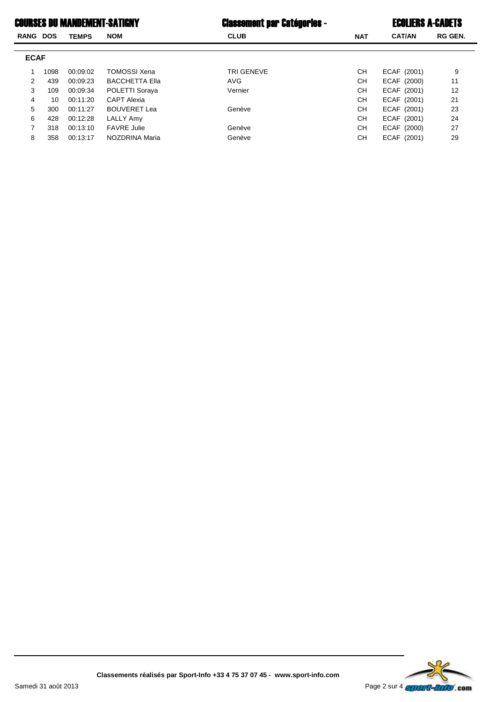## COURSES DU MANDEMENT-SATIGNY Classement par Catégories - ECOLIERS A-CADETS

| <b>Classement par Catégories -</b> |  |  |  |
|------------------------------------|--|--|--|
|------------------------------------|--|--|--|

| <b>RANG DOS</b> |      | <b>TEMPS</b> | <b>NOM</b>            | <b>CLUB</b> | <b>NAT</b> | <b>CAT/AN</b> | <b>RG GEN.</b> |
|-----------------|------|--------------|-----------------------|-------------|------------|---------------|----------------|
|                 |      |              |                       |             |            |               |                |
| <b>ECAF</b>     |      |              |                       |             |            |               |                |
|                 | 1098 | 00:09:02     | <b>TOMOSSI Xena</b>   | TRI GENEVE  | CН         | ECAF (2001)   | 9              |
| 2               | 439  | 00:09:23     | <b>BACCHETTA Ella</b> | <b>AVG</b>  | CН         | ECAF (2000)   | 11             |
| 3               | 109  | 00:09:34     | POLETTI Soraya        | Vernier     | <b>CH</b>  | ECAF (2001)   | 12             |
| 4               | 10   | 00:11:20     | <b>CAPT Alexia</b>    |             | <b>CH</b>  | ECAF (2001)   | 21             |
| 5               | 300  | 00:11:27     | <b>BOUVERET Lea</b>   | Genève      | CН         | ECAF (2001)   | 23             |
| 6               | 428  | 00:12:28     | LALLY Amy             |             | CН         | ECAF (2001)   | 24             |
|                 | 318  | 00:13:10     | <b>FAVRE Julie</b>    | Genève      | CН         | ECAF (2000)   | 27             |
| 8               | 358  | 00:13:17     | NOZDRINA Maria        | Genève      | CН         | ECAF (2001)   | 29             |

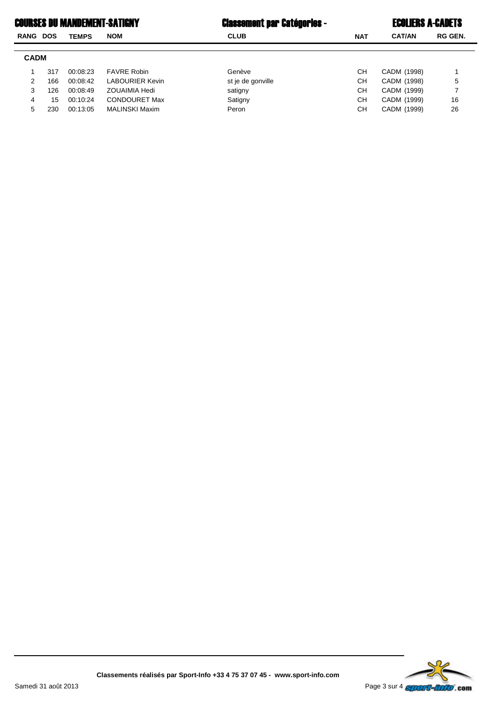# COURSES DU MANDEMENT-SATIGNY **Example 1** Classement par Catégories - The ECOLIERS A-CADETS

| <b>RANG</b> | <b>DOS</b> | <b>TEMPS</b> | <b>NOM</b>             | <b>CLUB</b>       | <b>NAT</b> | <b>CAT/AN</b> | <b>RG GEN.</b> |
|-------------|------------|--------------|------------------------|-------------------|------------|---------------|----------------|
| <b>CADM</b> |            |              |                        |                   |            |               |                |
|             | 317        | 00:08:23     | <b>FAVRE Robin</b>     | Genève            | CН         | CADM (1998)   |                |
| 2           | 166        | 00:08:42     | <b>LABOURIER Kevin</b> | st je de gonville | CН         | CADM (1998)   | 5              |
| 3           | 126        | 00:08:49     | <b>ZOUAIMIA Hedi</b>   | satigny           | CН         | CADM (1999)   |                |
| 4           | 15         | 00:10:24     | <b>CONDOURET Max</b>   | Satigny           | CН         | CADM (1999)   | 16             |
| 5.          | 230        | 00:13:05     | <b>MALINSKI Maxim</b>  | Peron             | CН         | CADM (1999)   | 26             |